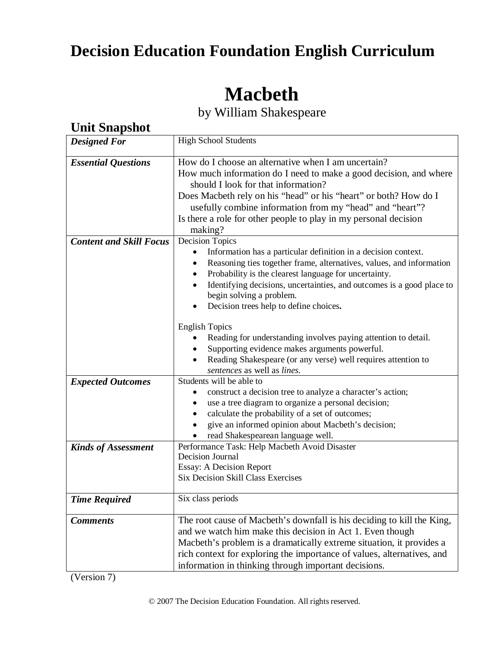# **Decision Education Foundation English Curriculum**

# **Macbeth**

by William Shakespeare

| <b>Unit Snapshot</b>           |                                                                                                                                                                                                                                                                                                                                                                                                                                                                                                                                                                                                                      |  |  |  |
|--------------------------------|----------------------------------------------------------------------------------------------------------------------------------------------------------------------------------------------------------------------------------------------------------------------------------------------------------------------------------------------------------------------------------------------------------------------------------------------------------------------------------------------------------------------------------------------------------------------------------------------------------------------|--|--|--|
| <b>Designed For</b>            | <b>High School Students</b>                                                                                                                                                                                                                                                                                                                                                                                                                                                                                                                                                                                          |  |  |  |
| <b>Essential Questions</b>     | How do I choose an alternative when I am uncertain?<br>How much information do I need to make a good decision, and where<br>should I look for that information?<br>Does Macbeth rely on his "head" or his "heart" or both? How do I<br>usefully combine information from my "head" and "heart"?<br>Is there a role for other people to play in my personal decision<br>making?                                                                                                                                                                                                                                       |  |  |  |
| <b>Content and Skill Focus</b> | <b>Decision Topics</b><br>Information has a particular definition in a decision context.<br>Reasoning ties together frame, alternatives, values, and information<br>Probability is the clearest language for uncertainty.<br>Identifying decisions, uncertainties, and outcomes is a good place to<br>begin solving a problem.<br>Decision trees help to define choices.<br><b>English Topics</b><br>Reading for understanding involves paying attention to detail.<br>Supporting evidence makes arguments powerful.<br>Reading Shakespeare (or any verse) well requires attention to<br>sentences as well as lines. |  |  |  |
| <b>Expected Outcomes</b>       | Students will be able to<br>construct a decision tree to analyze a character's action;<br>use a tree diagram to organize a personal decision;<br>calculate the probability of a set of outcomes;<br>give an informed opinion about Macbeth's decision;<br>read Shakespearean language well.                                                                                                                                                                                                                                                                                                                          |  |  |  |
| <b>Kinds of Assessment</b>     | Performance Task: Help Macbeth Avoid Disaster<br>Decision Journal<br>Essay: A Decision Report<br><b>Six Decision Skill Class Exercises</b>                                                                                                                                                                                                                                                                                                                                                                                                                                                                           |  |  |  |
| <b>Time Required</b>           | Six class periods                                                                                                                                                                                                                                                                                                                                                                                                                                                                                                                                                                                                    |  |  |  |
| <b>Comments</b>                | The root cause of Macbeth's downfall is his deciding to kill the King,<br>and we watch him make this decision in Act 1. Even though<br>Macbeth's problem is a dramatically extreme situation, it provides a<br>rich context for exploring the importance of values, alternatives, and<br>information in thinking through important decisions.                                                                                                                                                                                                                                                                        |  |  |  |

(Version 7)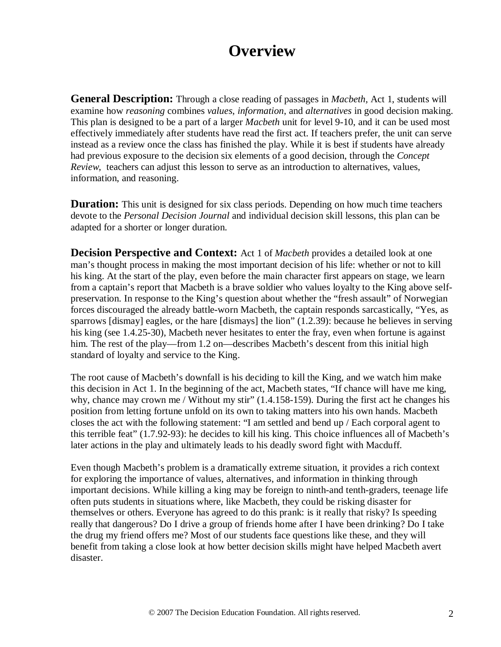# **Overview**

**General Description:** Through a close reading of passages in *Macbeth,* Act 1, students will examine how *reasoning* combines *values*, *information*, and *alternatives* in good decision making. This plan is designed to be a part of a larger *Macbeth* unit for level 9-10, and it can be used most effectively immediately after students have read the first act. If teachers prefer, the unit can serve instead as a review once the class has finished the play. While it is best if students have already had previous exposure to the decision six elements of a good decision, through the *Concept Review,* teachers can adjust this lesson to serve as an introduction to alternatives, values, information, and reasoning.

**Duration:** This unit is designed for six class periods. Depending on how much time teachers devote to the *Personal Decision Journal* and individual decision skill lessons, this plan can be adapted for a shorter or longer duration.

**Decision Perspective and Context:** Act 1 of *Macbeth* provides a detailed look at one man's thought process in making the most important decision of his life: whether or not to kill his king. At the start of the play, even before the main character first appears on stage, we learn from a captain's report that Macbeth is a brave soldier who values loyalty to the King above selfpreservation. In response to the King's question about whether the "fresh assault" of Norwegian forces discouraged the already battle-worn Macbeth, the captain responds sarcastically, "Yes, as sparrows [dismay] eagles, or the hare [dismays] the lion" (1.2.39): because he believes in serving his king (see 1.4.25-30), Macbeth never hesitates to enter the fray, even when fortune is against him. The rest of the play—from 1.2 on—describes Macbeth's descent from this initial high standard of loyalty and service to the King.

The root cause of Macbeth's downfall is his deciding to kill the King, and we watch him make this decision in Act 1. In the beginning of the act, Macbeth states, "If chance will have me king, why, chance may crown me / Without my stir" (1.4.158-159). During the first act he changes his position from letting fortune unfold on its own to taking matters into his own hands. Macbeth closes the act with the following statement: "I am settled and bend up / Each corporal agent to this terrible feat" (1.7.92-93): he decides to kill his king. This choice influences all of Macbeth's later actions in the play and ultimately leads to his deadly sword fight with Macduff.

Even though Macbeth's problem is a dramatically extreme situation, it provides a rich context for exploring the importance of values, alternatives, and information in thinking through important decisions. While killing a king may be foreign to ninth-and tenth-graders, teenage life often puts students in situations where, like Macbeth, they could be risking disaster for themselves or others. Everyone has agreed to do this prank: is it really that risky? Is speeding really that dangerous? Do I drive a group of friends home after I have been drinking? Do I take the drug my friend offers me? Most of our students face questions like these, and they will benefit from taking a close look at how better decision skills might have helped Macbeth avert disaster.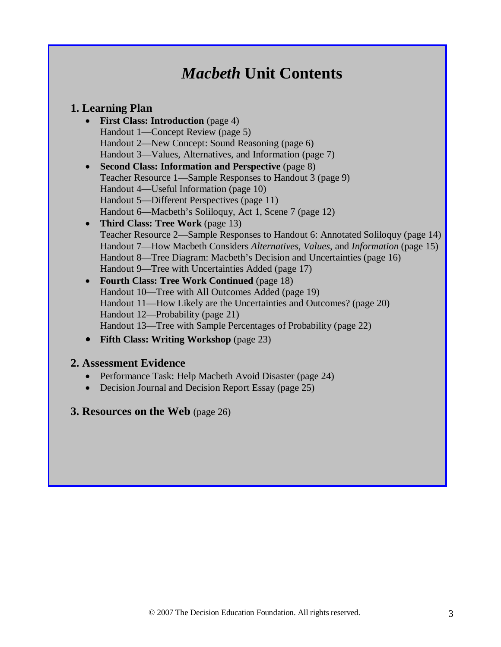# *Macbeth* **Unit Contents**

## **1. Learning Plan**

- **First Class: Introduction** (page 4) Handout 1—Concept Review (page 5) Handout 2—New Concept: Sound Reasoning (page 6) Handout 3—Values, Alternatives, and Information (page 7)
- **Second Class: Information and Perspective** (page 8) Teacher Resource 1—Sample Responses to Handout 3 (page 9) Handout 4—Useful Information (page 10) Handout 5—Different Perspectives (page 11) Handout 6—Macbeth's Soliloquy, Act 1, Scene 7 (page 12)

## • **Third Class: Tree Work** (page 13) Teacher Resource 2—Sample Responses to Handout 6: Annotated Soliloquy (page 14) Handout 7—How Macbeth Considers *Alternatives*, *Values*, and *Information* (page 15)Handout 8—Tree Diagram: Macbeth's Decision and Uncertainties (page 16) Handout 9—Tree with Uncertainties Added (page 17)

- **Fourth Class: Tree Work Continued** (page 18) Handout 10—Tree with All Outcomes Added (page 19) Handout 11—How Likely are the Uncertainties and Outcomes? (page 20) Handout 12—Probability (page 21) Handout 13—Tree with Sample Percentages of Probability (page 22)
- **Fifth Class: Writing Workshop** (page 23)

## **2. Assessment Evidence**

- Performance Task: Help Macbeth Avoid Disaster (page 24)
- Decision Journal and Decision Report Essay (page 25)

## **3. Resources on the Web** (page 26)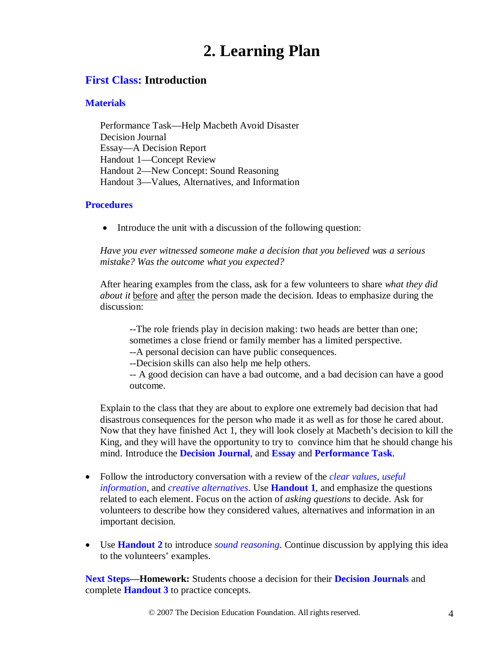# **2. Learning Plan**

## **First Class: Introduction**

## **Materials**

Performance Task—Help Macbeth Avoid Disaster Decision Journal Essay—A Decision Report Handout 1—Concept Review Handout 2—New Concept: Sound Reasoning Handout 3—Values, Alternatives, and Information

## **Procedures**

• Introduce the unit with a discussion of the following question:

*Have you ever witnessed someone make a decision that you believed was a serious mistake? Was the outcome what you expected?*

After hearing examples from the class, ask for a few volunteers to share *what they did about it* before and after the person made the decision. Ideas to emphasize during the discussion:

--The role friends play in decision making: two heads are better than one; sometimes a close friend or family member has a limited perspective.

--A personal decision can have public consequences.

--Decision skills can also help me help others.

-- A good decision can have a bad outcome, and a bad decision can have a good outcome.

Explain to the class that they are about to explore one extremely bad decision that had disastrous consequences for the person who made it as well as for those he cared about. Now that they have finished Act 1, they will look closely at Macbeth's decision to kill the King, and they will have the opportunity to try to convince him that he should change his mind. Introduce the **Decision Journal**, and **Essay** and **Performance Task**.

- Follow the introductory conversation with a review of the *clear values, useful information*, and *creative alternatives*. Use **Handout 1**, and emphasize the questions related to each element. Focus on the action of *asking questions* to decide. Ask for volunteers to describe how they considered values, alternatives and information in an important decision.
- Use **Handout 2** to introduce *sound reasoning*. Continue discussion by applying this idea to the volunteers' examples.

**Next Steps—Homework:** Students choose a decision for their **Decision Journals** and complete **Handout 3** to practice concepts.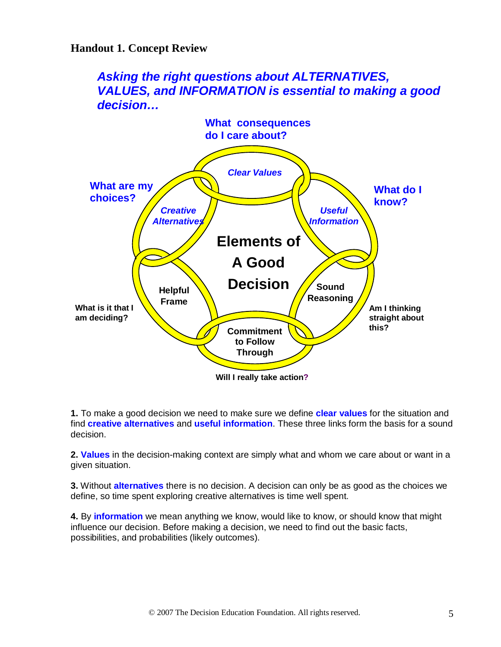## **Handout 1. Concept Review**

## *Asking the right questions about ALTERNATIVES, VALUES, and INFORMATION is essential to making a good decision…*



**1.** To make a good decision we need to make sure we define **clear values** for the situation and find **creative alternatives** and **useful information**. These three links form the basis for a sound decision.

**2. Values** in the decision-making context are simply what and whom we care about or want in a given situation.

**3.** Without **alternatives** there is no decision. A decision can only be as good as the choices we define, so time spent exploring creative alternatives is time well spent.

**4.** By **information** we mean anything we know, would like to know, or should know that might influence our decision. Before making a decision, we need to find out the basic facts, possibilities, and probabilities (likely outcomes).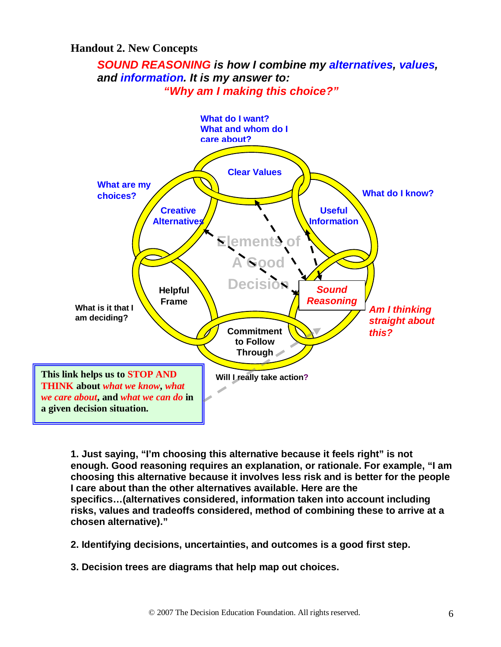## **Handout 2. New Concepts**

## *SOUND REASONING is how I combine my alternatives, values, and information. It is my answer to: "Why am I making this choice?"*



**1. Just saying, "I'm choosing this alternative because it feels right" is not enough. Good reasoning requires an explanation, or rationale. For example, "I am choosing this alternative because it involves less risk and is better for the people I care about than the other alternatives available. Here are the specifics…(alternatives considered, information taken into account including risks, values and tradeoffs considered, method of combining these to arrive at a chosen alternative)."** 

- **2. Identifying decisions, uncertainties, and outcomes is a good first step.**
- **3. Decision trees are diagrams that help map out choices.**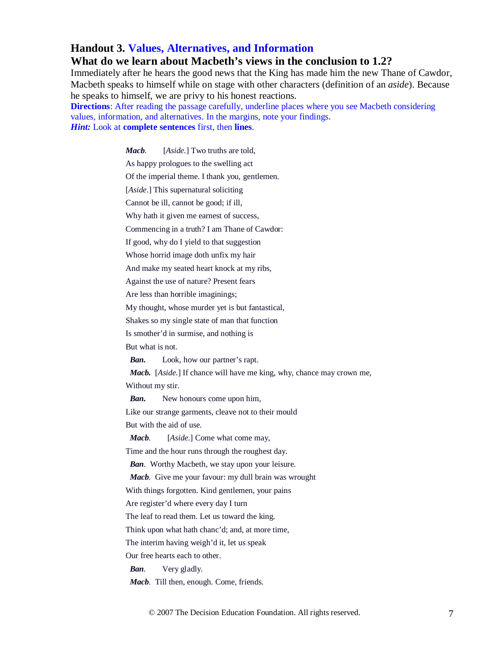## **Handout 3. Values, Alternatives, and Information**

### **What do we learn about Macbeth's views in the conclusion to 1.2?**

Immediately after he hears the good news that the King has made him the new Thane of Cawdor, Macbeth speaks to himself while on stage with other characters (definition of an *aside*). Because he speaks to himself, we are privy to his honest reactions.

**Directions**: After reading the passage carefully, underline places where you see Macbeth considering values, information, and alternatives. In the margins, note your findings. *Hint:* Look at **complete sentences** first, then **lines**.

*Macb.* [*Aside.*] Two truths are told,

As happy prologues to the swelling act

Of the imperial theme. I thank you, gentlemen.

[*Aside.*] This supernatural soliciting

Cannot be ill, cannot be good; if ill,

Why hath it given me earnest of success,

Commencing in a truth? I am Thane of Cawdor:

If good, why do I yield to that suggestion

Whose horrid image doth unfix my hair

And make my seated heart knock at my ribs,

Against the use of nature? Present fears

Are less than horrible imaginings;

My thought, whose murder yet is but fantastical,

Shakes so my single state of man that function

Is smother'd in surmise, and nothing is

But what is not.

*Ban.* Look, how our partner's rapt.

*Macb.* [*Aside.*] If chance will have me king, why, chance may crown me,

Without my stir.

*Ban.* New honours come upon him,

Like our strange garments, cleave not to their mould

But with the aid of use.

*Macb.* [*Aside.*] Come what come may,

Time and the hour runs through the roughest day.

*Ban.* Worthy Macbeth, we stay upon your leisure.

*Macb.* Give me your favour: my dull brain was wrought

With things forgotten. Kind gentlemen, your pains

Are register'd where every day I turn

The leaf to read them. Let us toward the king.

Think upon what hath chanc'd; and, at more time,

The interim having weigh'd it, let us speak

Our free hearts each to other.

*Ban.* Very gladly.

*Macb.* Till then, enough. Come, friends.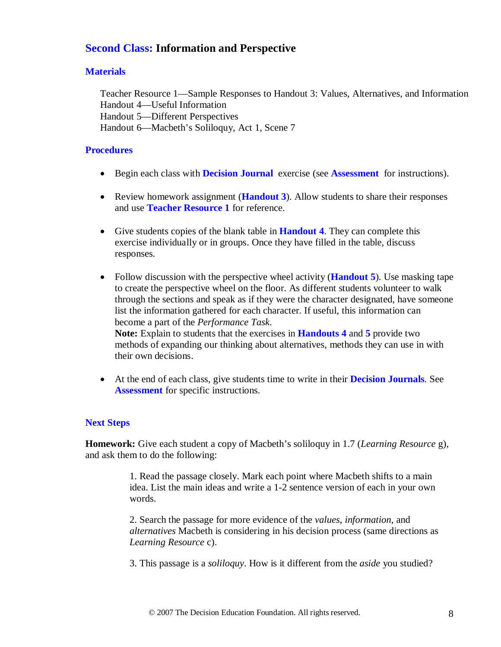## **Second Class: Information and Perspective**

## **Materials**

Teacher Resource 1—Sample Responses to Handout 3: Values, Alternatives, and Information Handout 4—Useful Information Handout 5—Different Perspectives Handout 6—Macbeth's Soliloquy, Act 1, Scene 7

## **Procedures**

- Begin each class with **Decision Journal** exercise (see **Assessment** for instructions).
- Review homework assignment (**Handout 3**). Allow students to share their responses and use **Teacher Resource 1** for reference.
- Give students copies of the blank table in **Handout 4**. They can complete this exercise individually or in groups. Once they have filled in the table, discuss responses.
- Follow discussion with the perspective wheel activity (**Handout 5**). Use masking tape to create the perspective wheel on the floor. As different students volunteer to walk through the sections and speak as if they were the character designated, have someone list the information gathered for each character. If useful, this information can become a part of the *Performance Task*. **Note:** Explain to students that the exercises in **Handouts 4** and **5** provide two methods of expanding our thinking about alternatives, methods they can use in with their own decisions.
- At the end of each class, give students time to write in their **Decision Journals**. See **Assessment** for specific instructions.

## **Next Steps**

**Homework:** Give each student a copy of Macbeth's soliloquy in 1.7 (*Learning Resource* g), and ask them to do the following:

> 1. Read the passage closely. Mark each point where Macbeth shifts to a main idea. List the main ideas and write a 1-2 sentence version of each in your own words.

> 2. Search the passage for more evidence of the *values*, *information*, and *alternatives* Macbeth is considering in his decision process (same directions as *Learning Resource* c).

3. This passage is a *soliloquy*. How is it different from the *aside* you studied?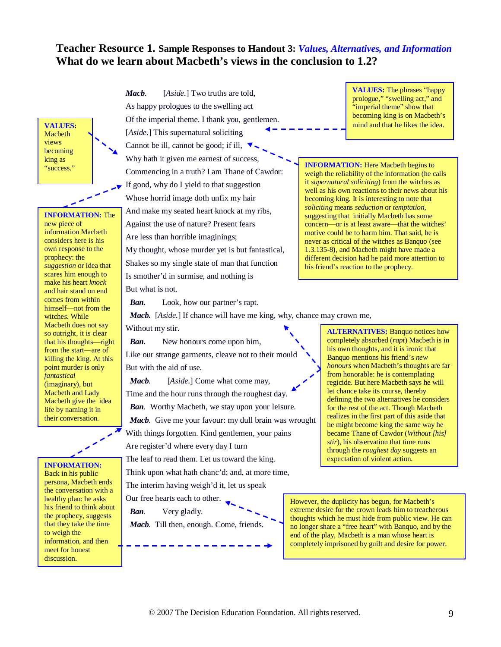## **Teacher Resource 1. Sample Responses to Handout 3:** *Values, Alternatives, and Information* **What do we learn about Macbeth's views in the conclusion to 1.2?**

Macbeth views becoming king as<br>"success."

**INFORMATION:** The new piece of information Macbeth considers here is his own response to the prophecy: the *suggestion* or idea that scares him enough to make his heart *knock* and hair stand on end comes from within himself—not from the witches. While Macbeth does not say so outright, it is clear that his thoughts—right from the start—are of killing the king. At this point murder is only *fantastical* (imaginary), but Macbeth and Lady Macbeth give the idea life by naming it in their conversation.

Back in his public persona, Macbeth ends the conversation with a healthy plan: he asks his friend to think about the prophecy, suggests that they take the time to weigh the information, and then meet for honest discussion.

*Macb.* [*Aside.*] Two truths are told, As happy prologues to the swelling act Of the imperial theme. I thank you, gentlemen. [*Aside.*] This supernatural soliciting Cannot be ill, cannot be good; if ill,  $\nabla$ Why hath it given me earnest of success, Commencing in a truth? I am Thane of Cawdor: "success." **INFORMATION:** Here Macbeth begins to If good, why do I yield to that suggestion Whose horrid image doth unfix my hair And make my seated heart knock at my ribs, Against the use of nature? Present fears Are less than horrible imaginings; My thought, whose murder yet is but fantastical, Shakes so my single state of man that function Is smother'd in surmise, and nothing is **VALUES:** we can be a matter of the intervention of the intervention of the idea.

But what is not.

*Ban.* Look, how our partner's rapt.

**VALUES:** The phrases "happy prologue," "swelling act," and "imperial theme" show that becoming king is on Macbeth's

weigh the reliability of the information (he calls it *supernatural soliciting*) from the witches as well as his own reactions to their news about his becoming king. It is interesting to note that *soliciting* means *seduction* or *temptation*, suggesting that initially Macbeth has some concern—or is at least aware—that the witches' motive could be to harm him. That said, he is never as critical of the witches as Banquo (see 1.3.135-8), and Macbeth might have made a different decision had he paid more attention to his friend's reaction to the prophecy.

*Macb.* [*Aside.*] If chance will have me king, why, chance may crown me,

Without my stir.

 *Ban.* New honours come upon him, Like our strange garments, cleave not to their mould But with the aid of use.

 *Macb.* [*Aside.*] Come what come may, Time and the hour runs through the roughest day. *Ban.* Worthy Macbeth, we stay upon your leisure. *Macb.* Give me your favour: my dull brain was wrought With things forgotten. Kind gentlemen, your pains Are register'd where every day I turn **INFORMATION:** The leaf to read them. Let us toward the king. **Expectation of violent action.** 

Think upon what hath chanc'd; and, at more time, The interim having weigh'd it, let us speak

Our free hearts each to other.

*Ban.* Very gladly.

*Macb.* Till then, enough. Come, friends.

**ALTERNATIVES:** Banquo notices how completely absorbed (*rapt*) Macbeth is in his own thoughts, and it is ironic that Banquo mentions his friend's *new honours* when Macbeth's thoughts are far from honorable: he is contemplating regicide. But here Macbeth says he will let chance take its course, thereby defining the two alternatives he considers for the rest of the act. Though Macbeth realizes in the first part of this aside that he might become king the same way he became Thane of Cawdor (*Without [his] stir*), his observation that time runs through the *roughest day* suggests an

However, the duplicity has begun, for Macbeth's extreme desire for the crown leads him to treacherous thoughts which he must hide from public view. He can no longer share a "free heart" with Banquo, and by the end of the play, Macbeth is a man whose heart is completely imprisoned by guilt and desire for power.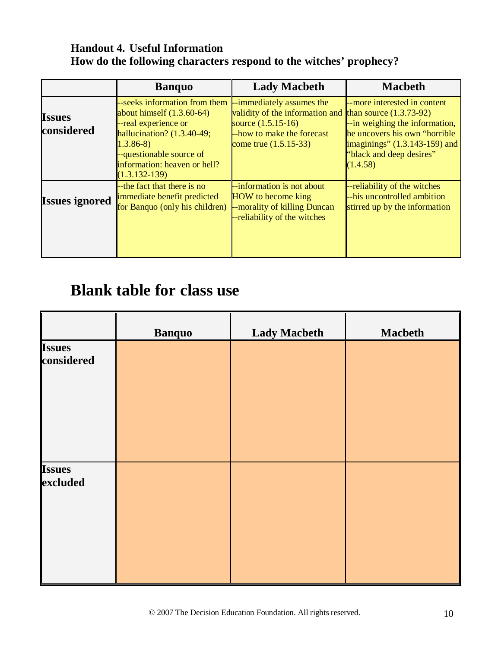## **Handout 4. Useful Information How do the following characters respond to the witches' prophecy?**

|                             | <b>Banquo</b>                                                                                                                                                                                                                                  | <b>Lady Macbeth</b>                                                                                                                       | <b>Macbeth</b>                                                                                                                                                              |
|-----------------------------|------------------------------------------------------------------------------------------------------------------------------------------------------------------------------------------------------------------------------------------------|-------------------------------------------------------------------------------------------------------------------------------------------|-----------------------------------------------------------------------------------------------------------------------------------------------------------------------------|
| <b>Issues</b><br>considered | --seeks information from them  --immediately assumes the<br>about himself $(1.3.60-64)$<br>--real experience or<br>hallucination? $(1.3.40-49;$<br>$1.3.86-8$<br>--questionable source of<br>information: heaven or hell?<br>$(1.3.132 - 139)$ | validity of the information and than source $(1.3.73-92)$<br>source $(1.5.15-16)$<br>-how to make the forecast<br>come true $(1.5.15-33)$ | --more interested in content<br>--in weighing the information,<br>he uncovers his own "horrible"<br>imaginings" $(1.3.143-159)$ and<br>"black and deep desires"<br>(1.4.58) |
| <b>Issues ignored</b>       | --the fact that there is no<br>immediate benefit predicted<br>for Banquo (only his children) - morality of killing Duncan                                                                                                                      | --information is not about<br><b>HOW</b> to become king<br>--reliability of the witches                                                   | --reliability of the witches<br>--his uncontrolled ambition<br>stirred up by the information                                                                                |

# **Blank table for class use**

|                             | <b>Banquo</b> | <b>Lady Macbeth</b> | <b>Macbeth</b> |
|-----------------------------|---------------|---------------------|----------------|
| <b>Issues</b><br>considered |               |                     |                |
| <b>Issues</b><br>excluded   |               |                     |                |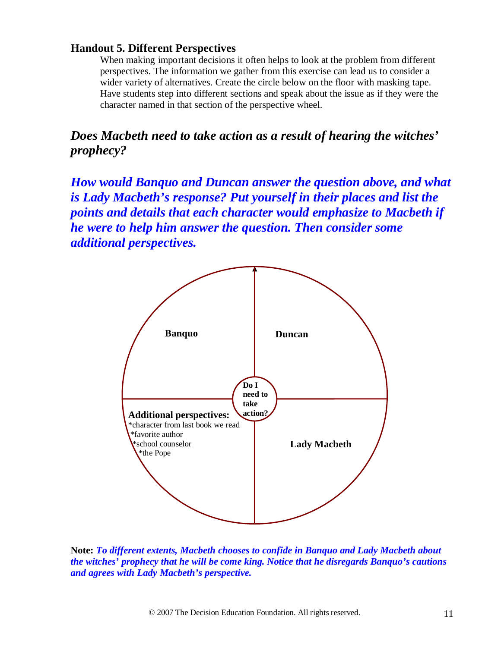## **Handout 5. Different Perspectives**

When making important decisions it often helps to look at the problem from different perspectives. The information we gather from this exercise can lead us to consider a wider variety of alternatives. Create the circle below on the floor with masking tape. Have students step into different sections and speak about the issue as if they were the character named in that section of the perspective wheel.

*Does Macbeth need to take action as a result of hearing the witches' prophecy?*

*How would Banquo and Duncan answer the question above, and what is Lady Macbeth's response? Put yourself in their places and list the points and details that each character would emphasize to Macbeth if he were to help him answer the question. Then consider some additional perspectives.*



**Note:** *To different extents, Macbeth chooses to confide in Banquo and Lady Macbeth about the witches' prophecy that he will be come king. Notice that he disregards Banquo's cautions and agrees with Lady Macbeth's perspective.*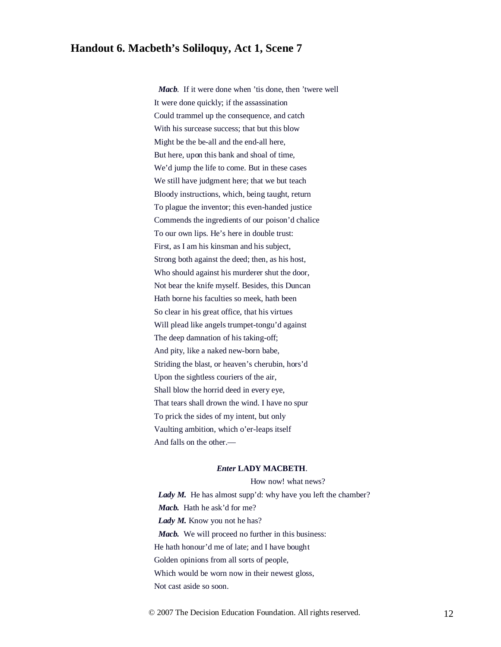## **Handout 6. Macbeth's Soliloquy, Act 1, Scene 7**

*Mach*. If it were done when 'tis done, then 'twere well It were done quickly; if the assassination Could trammel up the consequence, and catch With his surcease success; that but this blow Might be the be-all and the end-all here, But here, upon this bank and shoal of time, We'd jump the life to come. But in these cases We still have judgment here; that we but teach Bloody instructions, which, being taught, return To plague the inventor; this even-handed justice Commends the ingredients of our poison'd chalice To our own lips. He's here in double trust: First, as I am his kinsman and his subject, Strong both against the deed; then, as his host, Who should against his murderer shut the door, Not bear the knife myself. Besides, this Duncan Hath borne his faculties so meek, hath been So clear in his great office, that his virtues Will plead like angels trumpet-tongu'd against The deep damnation of his taking-off; And pity, like a naked new-born babe, Striding the blast, or heaven's cherubin, hors'd Upon the sightless couriers of the air, Shall blow the horrid deed in every eye, That tears shall drown the wind. I have no spur To prick the sides of my intent, but only Vaulting ambition, which o'er-leaps itself And falls on the other.—

#### *Enter* **LADY MACBETH**.

How now! what news?

Lady M. He has almost supp'd: why have you left the chamber? *Macb.* Hath he ask'd for me? Lady M. Know you not he has? *Macb.* We will proceed no further in this business: He hath honour'd me of late; and I have bought Golden opinions from all sorts of people, Which would be worn now in their newest gloss, Not cast aside so soon.

© 2007 The Decision Education Foundation. All rights reserved. 12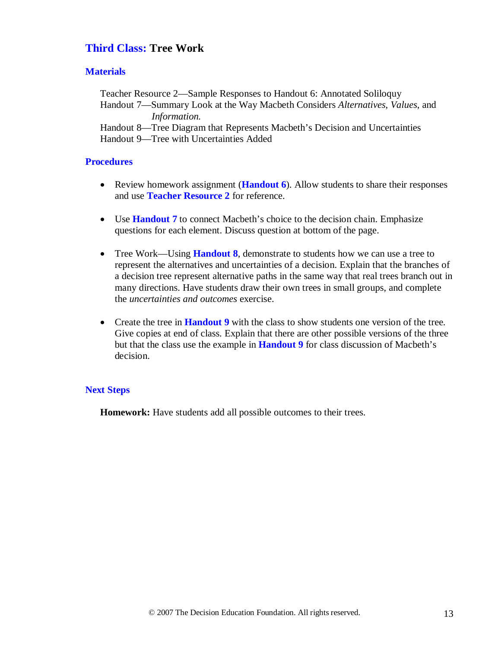## **Third Class: Tree Work**

### **Materials**

Teacher Resource 2—Sample Responses to Handout 6: Annotated Soliloquy Handout 7—Summary Look at the Way Macbeth Considers *Alternatives*, *Values*, and *Information.*Handout 8—Tree Diagram that Represents Macbeth's Decision and Uncertainties Handout 9—Tree with Uncertainties Added

### **Procedures**

- Review homework assignment **(Handout 6)**. Allow students to share their responses and use **Teacher Resource 2** for reference.
- Use **Handout 7** to connect Macbeth's choice to the decision chain. Emphasize questions for each element. Discuss question at bottom of the page.
- Tree Work—Using **Handout 8**, demonstrate to students how we can use a tree to represent the alternatives and uncertainties of a decision. Explain that the branches of a decision tree represent alternative paths in the same way that real trees branch out in many directions. Have students draw their own trees in small groups, and complete the *uncertainties and outcomes* exercise.
- Create the tree in **Handout 9** with the class to show students one version of the tree. Give copies at end of class. Explain that there are other possible versions of the three but that the class use the example in **Handout 9** for class discussion of Macbeth's decision.

### **Next Steps**

**Homework:** Have students add all possible outcomes to their trees.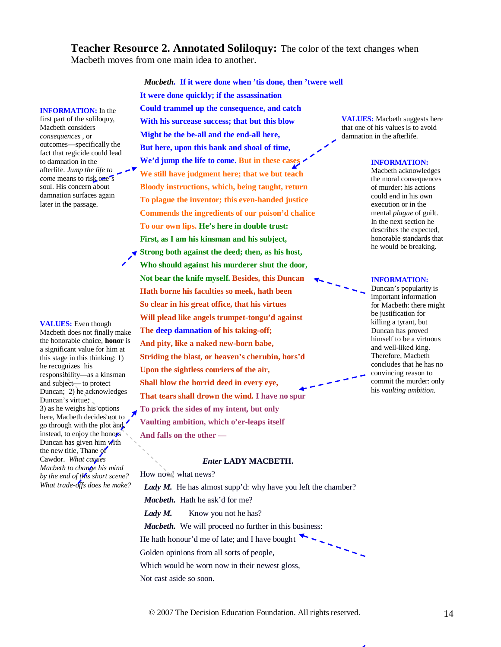**Teacher Resource 2. Annotated Soliloquy:** The color of the text changes when Macbeth moves from one main idea to another.

**INFORMATION:** In the first part of the soliloquy, Macbeth considers *consequences* , or outcomes—specifically the fact that regicide could lead to damnation in the afterlife. *Jump the life to come* means to risk one's soul. His concern about damnation surfaces again later in the passage.

**VALUES:** Even though Macbeth does not finally make the honorable choice, **honor** is a significant value for him at this stage in this thinking: 1) he recognizes his responsibility—as a kinsman and subject— to protect Duncan; 2) he acknowledges Duncan's virtue; 3) as he weighs his options here, Macbeth decides not to go through with the plot and, instead, to enjoy the honors Duncan has given him with the new title, Thane of Cawdor. *What causes Macbeth to change his mind by the end of this short scene? What trade-offs does he make?*

*Macbeth.* **If it were done when 'tis done, then 'twere well It were done quickly; if the assassination Could trammel up the consequence, and catch With his surcease success; that but this blow Might be the be-all and the end-all here, But here, upon this bank and shoal of time, We'd jump the life to come. But in these cases We still have judgment here; that we but teach Bloody instructions, which, being taught, return To plague the inventor; this even-handed justice Commends the ingredients of our poison'd chalice To our own lips. He's here in double trust: First, as I am his kinsman and his subject, Strong both against the deed; then, as his host, Who should against his murderer shut the door, Not bear the knife myself. Besides, this Duncan Hath borne his faculties so meek, hath been So clear in his great office, that his virtues Will plead like angels trumpet-tongu'd against The deep damnation of his taking-off; And pity, like a naked new-born babe, Striding the blast, or heaven's cherubin, hors'd Upon the sightless couriers of the air, Shall blow the horrid deed in every eye, That tears shall drown the wind. I have no spur To prick the sides of my intent, but only Vaulting ambition, which o'er-leaps itself And falls on the other —**

#### *Enter* **LADY MACBETH.**

How now! what news?

Lady M. He has almost supp'd: why have you left the chamber? *Macbeth.* Hath he ask'd for me?

Lady M. Know you not he has?

*Macbeth.* We will proceed no further in this business:

He hath honour'd me of late; and I have bought

Golden opinions from all sorts of people,

Which would be worn now in their newest gloss,

Not cast aside so soon.

**VALUES:** Macbeth suggests here that one of his values is to avoid damnation in the afterlife.

#### **INFORMATION:**

Macbeth acknowledges the moral consequences of murder: his actions could end in his own execution or in the mental *plague* of guilt. In the next section he describes the expected, honorable standards that he would be breaking.

**INFORMATION:** 

Duncan's popularity is important information for Macbeth: there might be justification for killing a tyrant, but Duncan has proved himself to be a virtuous and well-liked king. Therefore, Macbeth concludes that he has no convincing reason to commit the murder: only his *vaulting ambition*.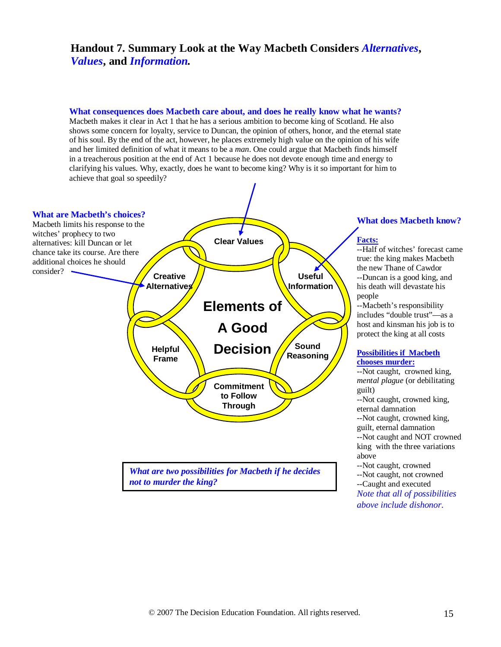## **Handout 7. Summary Look at the Way Macbeth Considers** *Alternatives***,**  *Values***, and** *Information.*

### **What consequences does Macbeth care about, and does he really know what he wants?**

Macbeth makes it clear in Act 1 that he has a serious ambition to become king of Scotland. He also shows some concern for loyalty, service to Duncan, the opinion of others, honor, and the eternal state of his soul. By the end of the act, however, he places extremely high value on the opinion of his wife and her limited definition of what it means to be a *man*. One could argue that Macbeth finds himself in a treacherous position at the end of Act 1 because he does not devote enough time and energy to clarifying his values. Why, exactly, does he want to become king? Why is it so important for him to achieve that goal so speedily?



#### **What does Macbeth know?**

#### **Facts:**

--Half of witches' forecast came true: the king makes Macbeth the new Thane of Cawdor --Duncan is a good king, and his death will devastate his people

--Macbeth's responsibility includes "double trust"—as a host and kinsman his job is to protect the king at all costs

#### **Possibilities if Macbeth chooses murder:**

--Not caught, crowned king, *mental plague* (or debilitating guilt)

--Not caught, crowned king, eternal damnation

--Not caught, crowned king, guilt, eternal damnation --Not caught and NOT crowned king with the three variations above

--Not caught, crowned

--Not caught, not crowned

--Caught and executed *Note that all of possibilities above include dishonor.*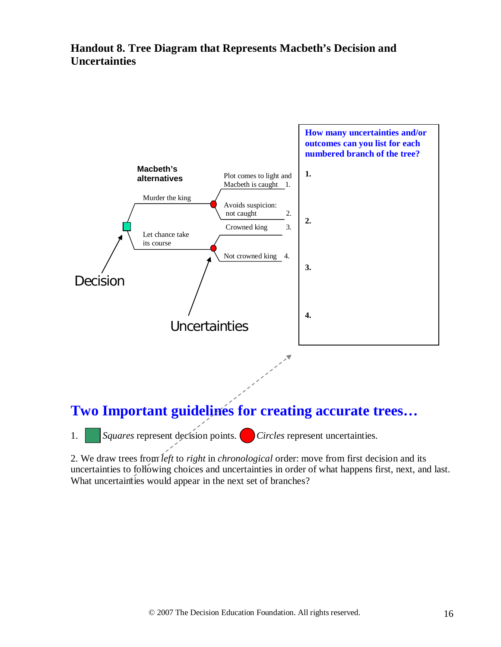## **Handout 8. Tree Diagram that Represents Macbeth's Decision and Uncertainties**



1. *Squares* represent decision points. *Circles* represent uncertainties.

2. We draw trees from *left* to *right* in *chronological* order: move from first decision and its uncertainties to following choices and uncertainties in order of what happens first, next, and last. What uncertainties would appear in the next set of branches?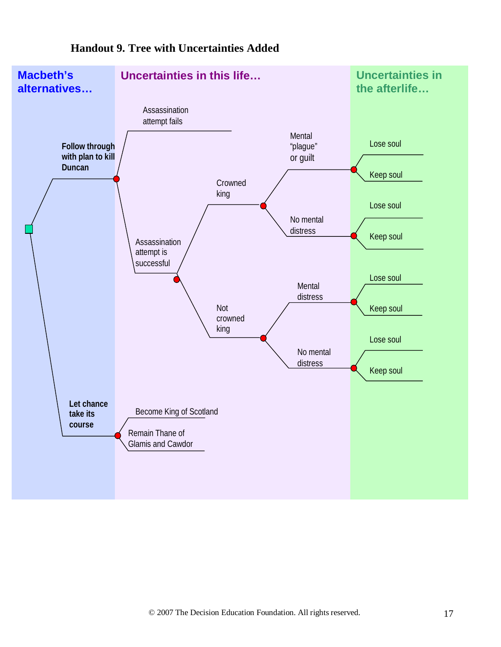

## **Handout 9. Tree with Uncertainties Added**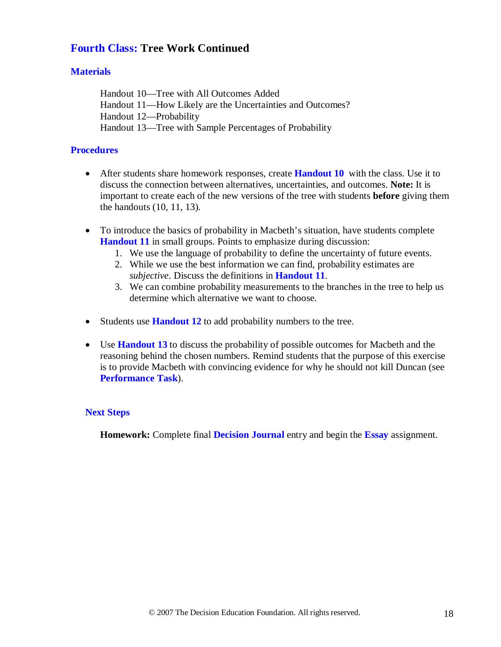## **Fourth Class: Tree Work Continued**

## **Materials**

Handout 10—Tree with All Outcomes Added Handout 11—How Likely are the Uncertainties and Outcomes? Handout 12—Probability Handout 13—Tree with Sample Percentages of Probability

## **Procedures**

- After students share homework responses, create **Handout 10** with the class. Use it to discuss the connection between alternatives, uncertainties, and outcomes. **Note:** It is important to create each of the new versions of the tree with students **before** giving them the handouts (10, 11, 13).
- To introduce the basics of probability in Macbeth's situation, have students complete **Handout 11** in small groups. Points to emphasize during discussion:
	- 1. We use the language of probability to define the uncertainty of future events.
	- 2. While we use the best information we can find, probability estimates are *subjective*. Discuss the definitions in **Handout 11**.
	- 3. We can combine probability measurements to the branches in the tree to help us determine which alternative we want to choose.
- Students use **Handout 12** to add probability numbers to the tree.
- Use **Handout 13** to discuss the probability of possible outcomes for Macbeth and the reasoning behind the chosen numbers. Remind students that the purpose of this exercise is to provide Macbeth with convincing evidence for why he should not kill Duncan (see **Performance Task**).

## **Next Steps**

**Homework:** Complete final **Decision Journal** entry and begin the **Essay** assignment.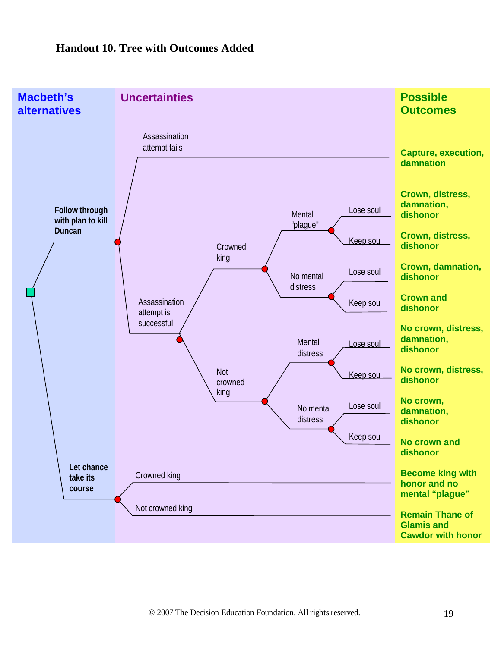## **Handout 10. Tree with Outcomes Added**

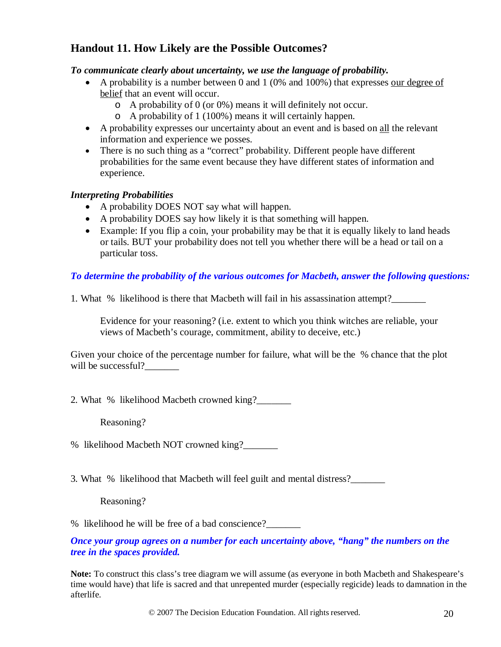## **Handout 11. How Likely are the Possible Outcomes?**

## *To communicate clearly about uncertainty, we use the language of probability.*

- A probability is a number between 0 and 1 (0% and 100%) that expresses our degree of belief that an event will occur.
	- o A probability of 0 (or 0%) means it will definitely not occur.
	- o A probability of 1 (100%) means it will certainly happen.
- A probability expresses our uncertainty about an event and is based on all the relevant information and experience we posses.
- There is no such thing as a "correct" probability. Different people have different probabilities for the same event because they have different states of information and experience.

## *Interpreting Probabilities*

- A probability DOES NOT say what will happen.
- A probability DOES say how likely it is that something will happen.
- Example: If you flip a coin, your probability may be that it is equally likely to land heads or tails. BUT your probability does not tell you whether there will be a head or tail on a particular toss.

## *To determine the probability of the various outcomes for Macbeth, answer the following questions:*

1. What % likelihood is there that Macbeth will fail in his assassination attempt?\_\_\_\_\_\_\_

Evidence for your reasoning? (i.e. extent to which you think witches are reliable, your views of Macbeth's courage, commitment, ability to deceive, etc.)

Given your choice of the percentage number for failure, what will be the % chance that the plot will be successful?

2. What % likelihood Macbeth crowned king?\_\_\_\_\_\_\_

Reasoning?

% likelihood Macbeth NOT crowned king?\_\_\_\_\_\_\_

3. What % likelihood that Macbeth will feel guilt and mental distress?\_\_\_\_\_\_\_

Reasoning?

% likelihood he will be free of a bad conscience?

*Once your group agrees on a number for each uncertainty above, "hang" the numbers on the tree in the spaces provided.*

**Note:** To construct this class's tree diagram we will assume (as everyone in both Macbeth and Shakespeare's time would have) that life is sacred and that unrepented murder (especially regicide) leads to damnation in the afterlife.

© 2007 The Decision Education Foundation. All rights reserved. 20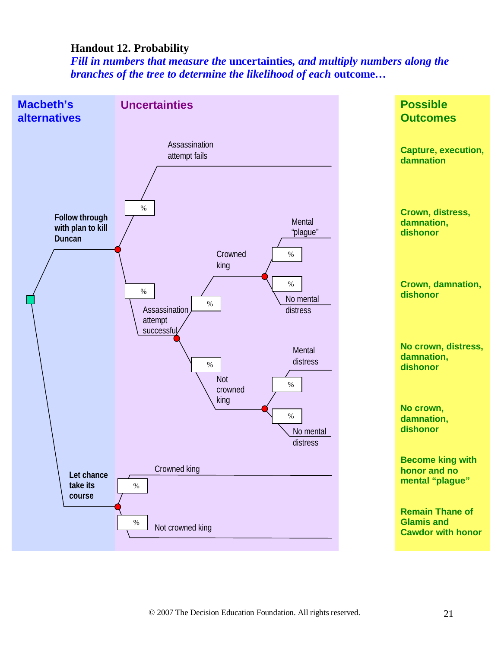## **Handout 12. Probability**

*Fill in numbers that measure the* **uncertainties***, and multiply numbers along the branches of the tree to determine the likelihood of each* **outcome***…*

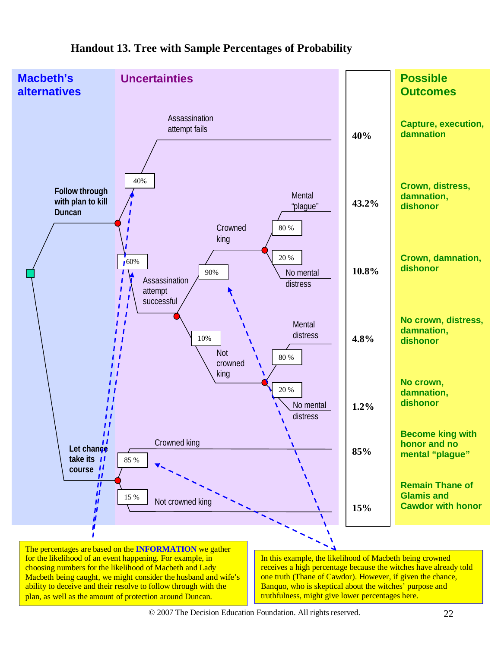

## **Handout 13. Tree with Sample Percentages of Probability**

© 2007 The Decision Education Foundation. All rights reserved. 22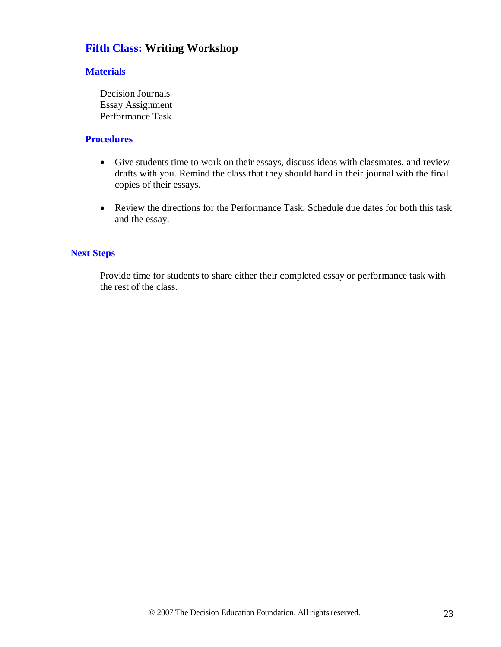## **Fifth Class: Writing Workshop**

### **Materials**

Decision Journals Essay Assignment Performance Task

### **Procedures**

- Give students time to work on their essays, discuss ideas with classmates, and review drafts with you. Remind the class that they should hand in their journal with the final copies of their essays.
- Review the directions for the Performance Task. Schedule due dates for both this task and the essay.

## **Next Steps**

Provide time for students to share either their completed essay or performance task with the rest of the class.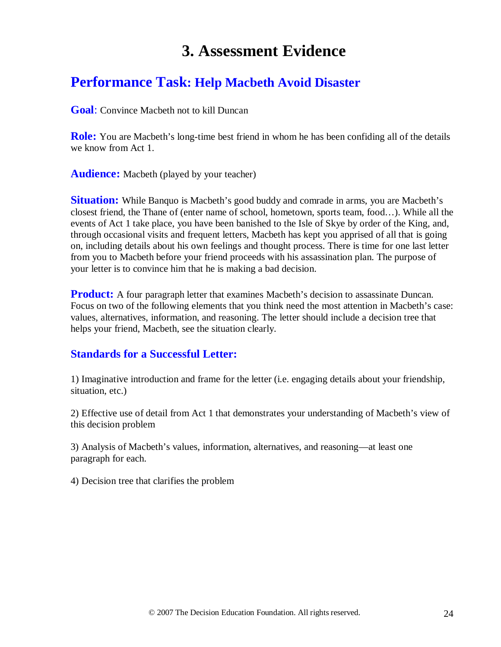# **3. Assessment Evidence**

## **Performance Task: Help Macbeth Avoid Disaster**

**Goal**: Convince Macbeth not to kill Duncan

**Role:** You are Macbeth's long-time best friend in whom he has been confiding all of the details we know from Act 1.

**Audience:** Macbeth (played by your teacher)

**Situation:** While Banquo is Macbeth's good buddy and comrade in arms, you are Macbeth's closest friend, the Thane of (enter name of school, hometown, sports team, food…). While all the events of Act 1 take place, you have been banished to the Isle of Skye by order of the King, and, through occasional visits and frequent letters, Macbeth has kept you apprised of all that is going on, including details about his own feelings and thought process. There is time for one last letter from you to Macbeth before your friend proceeds with his assassination plan. The purpose of your letter is to convince him that he is making a bad decision.

**Product:** A four paragraph letter that examines Macbeth's decision to assassinate Duncan. Focus on two of the following elements that you think need the most attention in Macbeth's case: values, alternatives, information, and reasoning. The letter should include a decision tree that helps your friend, Macbeth, see the situation clearly.

## **Standards for a Successful Letter:**

1) Imaginative introduction and frame for the letter (i.e. engaging details about your friendship, situation, etc.)

2) Effective use of detail from Act 1 that demonstrates your understanding of Macbeth's view of this decision problem

3) Analysis of Macbeth's values, information, alternatives, and reasoning—at least one paragraph for each.

4) Decision tree that clarifies the problem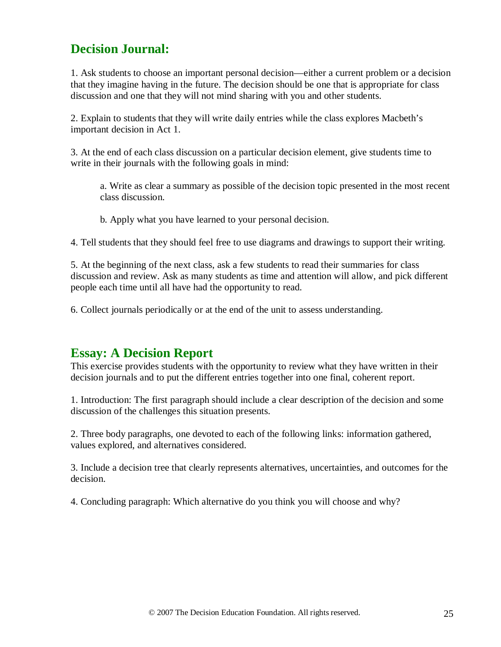## **Decision Journal:**

1. Ask students to choose an important personal decision—either a current problem or a decision that they imagine having in the future. The decision should be one that is appropriate for class discussion and one that they will not mind sharing with you and other students.

2. Explain to students that they will write daily entries while the class explores Macbeth's important decision in Act 1.

3. At the end of each class discussion on a particular decision element, give students time to write in their journals with the following goals in mind:

a. Write as clear a summary as possible of the decision topic presented in the most recent class discussion.

b. Apply what you have learned to your personal decision.

4. Tell students that they should feel free to use diagrams and drawings to support their writing.

5. At the beginning of the next class, ask a few students to read their summaries for class discussion and review. Ask as many students as time and attention will allow, and pick different people each time until all have had the opportunity to read.

6. Collect journals periodically or at the end of the unit to assess understanding.

## **Essay: A Decision Report**

This exercise provides students with the opportunity to review what they have written in their decision journals and to put the different entries together into one final, coherent report.

1. Introduction: The first paragraph should include a clear description of the decision and some discussion of the challenges this situation presents.

2. Three body paragraphs, one devoted to each of the following links: information gathered, values explored, and alternatives considered.

3. Include a decision tree that clearly represents alternatives, uncertainties, and outcomes for the decision.

4. Concluding paragraph: Which alternative do you think you will choose and why?